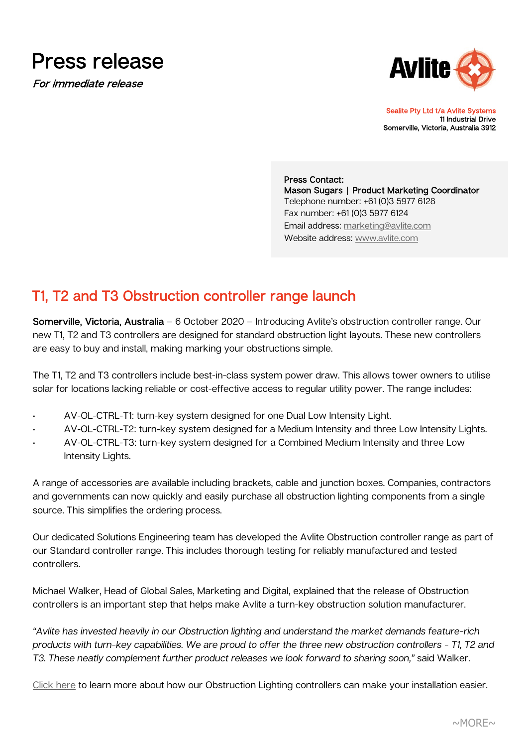

For immediate release



Sealite Pty Ltd t/a Avlite Systems 11 Industrial Drive Somerville, Victoria, Australia 3912

 Press Contact: Mason Sugars **│** Product Marketing Coordinator Telephone number: +61 (0)3 5977 6128 Fax number: +61 (0)3 5977 6124 Email address: [marketing@avlite.com](mailto:marketing@sealite.com) Website address: [www.avlite.com](http://www.avlite.com/)

## T1, T2 and T3 Obstruction controller range launch

Somerville, Victoria, Australia – 6 October 2020 – Introducing Avlite's obstruction controller range. Our new T1, T2 and T3 controllers are designed for standard obstruction light layouts. These new controllers are easy to buy and install, making marking your obstructions simple.

The T1, T2 and T3 controllers include best-in-class system power draw. This allows tower owners to utilise solar for locations lacking reliable or cost-effective access to regular utility power. The range includes:

- AV-OL-CTRL-T1: turn-key system designed for one Dual Low Intensity Light.
- AV-OL-CTRL-T2: turn-key system designed for a Medium Intensity and three Low Intensity Lights.
- AV-OL-CTRL-T3: turn-key system designed for a Combined Medium Intensity and three Low Intensity Lights.

A range of accessories are available including brackets, cable and junction boxes. Companies, contractors and governments can now quickly and easily purchase all obstruction lighting components from a single source. This simplifies the ordering process.

Our dedicated Solutions Engineering team has developed the Avlite Obstruction controller range as part of our Standard controller range. This includes thorough testing for reliably manufactured and tested controllers.

Michael Walker, Head of Global Sales, Marketing and Digital, explained that the release of Obstruction controllers is an important step that helps make Avlite a turn-key obstruction solution manufacturer.

*"Avlite has invested heavily in our Obstruction lighting and understand the market demands feature-rich products with turn-key capabilities. We are proud to offer the three new obstruction controllers - T1, T2 and T3. These neatly complement further product releases we look forward to sharing soon,"* said Walker.

[Click here](https://test.avlite.com/product-category/obstruction-lighting/control-monitoring-obstruction-lighting/) to learn more about how our Obstruction Lighting controllers can make your installation easier.